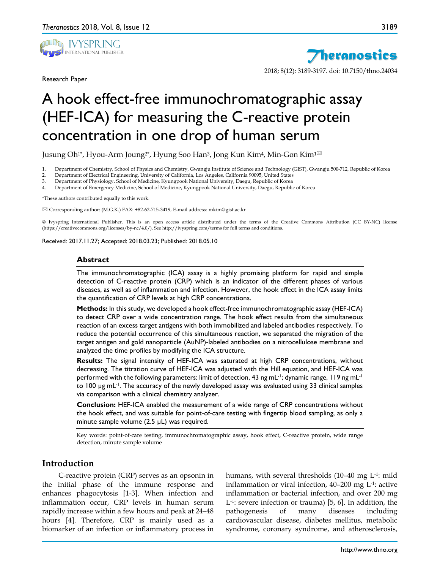

Research Paper



2018; 8(12): 3189-3197. doi: 10.7150/thno.24034

# A hook effect-free immunochromatographic assay (HEF-ICA) for measuring the C-reactive protein concentration in one drop of human serum

Jusung Oh<sup>1\*</sup>, Hyou-Arm Joung<sup>2\*</sup>, Hyung Soo Han<sup>3</sup>, Jong Kun Kim<sup>4</sup>, Min-Gon Kim<sup>1⊠</sup>

1. Department of Chemistry, School of Physics and Chemistry, Gwangju Institute of Science and Technology (GIST), Gwangju 500-712, Republic of Korea

- 2. Department of Electrical Engineering, University of California, Los Angeles, California 90095, United States
- 3. Department of Physiology, School of Medicine, Kyungpook National University, Daegu, Republic of Korea

4. Department of Emergency Medicine, School of Medicine, Kyungpook National University, Daegu, Republic of Korea

\*These authors contributed equally to this work.

 $\boxtimes$  Corresponding author: (M.G.K.) FAX: +82-62-715-3419, E-mail address: mkim@gist.ac.kr

© Ivyspring International Publisher. This is an open access article distributed under the terms of the Creative Commons Attribution (CC BY-NC) license (https://creativecommons.org/licenses/by-nc/4.0/). See http://ivyspring.com/terms for full terms and conditions.

Received: 2017.11.27; Accepted: 2018.03.23; Published: 2018.05.10

#### **Abstract**

The immunochromatographic (ICA) assay is a highly promising platform for rapid and simple detection of C-reactive protein (CRP) which is an indicator of the different phases of various diseases, as well as of inflammation and infection. However, the hook effect in the ICA assay limits the quantification of CRP levels at high CRP concentrations.

**Methods:** In this study, we developed a hook effect-free immunochromatographic assay (HEF-ICA) to detect CRP over a wide concentration range. The hook effect results from the simultaneous reaction of an excess target antigens with both immobilized and labeled antibodies respectively. To reduce the potential occurrence of this simultaneous reaction, we separated the migration of the target antigen and gold nanoparticle (AuNP)-labeled antibodies on a nitrocellulose membrane and analyzed the time profiles by modifying the ICA structure.

**Results:** The signal intensity of HEF-ICA was saturated at high CRP concentrations, without decreasing. The titration curve of HEF-ICA was adjusted with the Hill equation, and HEF-ICA was performed with the following parameters: limit of detection, 43 ng mL $^{\text{-}1}$ ; dynamic range, 119 ng mL $^{\text{-}1}$ to 100 µg mL<sup>-1</sup>. The accuracy of the newly developed assay was evaluated using 33 clinical samples via comparison with a clinical chemistry analyzer.

**Conclusion:** HEF-ICA enabled the measurement of a wide range of CRP concentrations without the hook effect, and was suitable for point-of-care testing with fingertip blood sampling, as only a minute sample volume (2.5 µL) was required.

Key words: point-of-care testing, immunochromatographic assay, hook effect, C-reactive protein, wide range detection, minute sample volume

# **Introduction**

C-reactive protein (CRP) serves as an opsonin in the initial phase of the immune response and enhances phagocytosis [1-3]. When infection and inflammation occur, CRP levels in human serum rapidly increase within a few hours and peak at 24–48 hours [4]. Therefore, CRP is mainly used as a biomarker of an infection or inflammatory process in

humans, with several thresholds (10–40 mg L-1: mild inflammation or viral infection, 40–200 mg L-1: active inflammation or bacterial infection, and over 200 mg L-1: severe infection or trauma) [5, 6]. In addition, the pathogenesis of many diseases including cardiovascular disease, diabetes mellitus, metabolic syndrome, coronary syndrome, and atherosclerosis,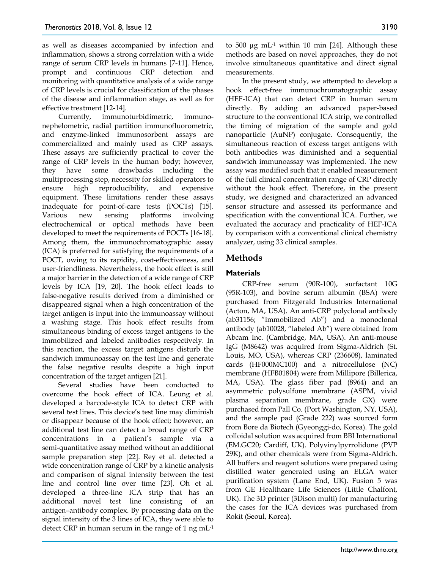as well as diseases accompanied by infection and inflammation, shows a strong correlation with a wide range of serum CRP levels in humans [7-11]. Hence, prompt and continuous CRP detection and monitoring with quantitative analysis of a wide range of CRP levels is crucial for classification of the phases of the disease and inflammation stage, as well as for effective treatment [12-14].

Currently, immunoturbidimetric, immunonephelometric, radial partition immunofluorometric, and enzyme-linked immunosorbent assays are commercialized and mainly used as CRP assays. These assays are sufficiently practical to cover the range of CRP levels in the human body; however, they have some drawbacks including the multiprocessing step, necessity for skilled operators to ensure high reproducibility, and expensive equipment. These limitations render these assays inadequate for point-of-care tests (POCTs) [15]. Various new sensing platforms involving electrochemical or optical methods have been developed to meet the requirements of POCTs [16-18]. Among them, the immunochromatographic assay (ICA) is preferred for satisfying the requirements of a POCT, owing to its rapidity, cost-effectiveness, and user-friendliness. Nevertheless, the hook effect is still a major barrier in the detection of a wide range of CRP levels by ICA [19, 20]. The hook effect leads to false-negative results derived from a diminished or disappeared signal when a high concentration of the target antigen is input into the immunoassay without a washing stage. This hook effect results from simultaneous binding of excess target antigens to the immobilized and labeled antibodies respectively. In this reaction, the excess target antigens disturb the sandwich immunoassay on the test line and generate the false negative results despite a high input concentration of the target antigen [21].

Several studies have been conducted to overcome the hook effect of ICA. Leung et al. developed a barcode-style ICA to detect CRP with several test lines. This device's test line may diminish or disappear because of the hook effect; however, an additional test line can detect a broad range of CRP concentrations in a patient's sample via a semi-quantitative assay method without an additional sample preparation step [22]. Rey et al. detected a wide concentration range of CRP by a kinetic analysis and comparison of signal intensity between the test line and control line over time [23]. Oh et al. developed a three-line ICA strip that has an additional novel test line consisting of an antigen–antibody complex. By processing data on the signal intensity of the 3 lines of ICA, they were able to detect CRP in human serum in the range of 1 ng mL-1

to 500 µg mL-1 within 10 min [24]. Although these methods are based on novel approaches, they do not involve simultaneous quantitative and direct signal measurements.

In the present study, we attempted to develop a hook effect-free immunochromatographic assay (HEF-ICA) that can detect CRP in human serum directly. By adding an advanced paper-based structure to the conventional ICA strip, we controlled the timing of migration of the sample and gold nanoparticle (AuNP) conjugate. Consequently, the simultaneous reaction of excess target antigens with both antibodies was diminished and a sequential sandwich immunoassay was implemented. The new assay was modified such that it enabled measurement of the full clinical concentration range of CRP directly without the hook effect. Therefore, in the present study, we designed and characterized an advanced sensor structure and assessed its performance and specification with the conventional ICA. Further, we evaluated the accuracy and practicality of HEF-ICA by comparison with a conventional clinical chemistry analyzer, using 33 clinical samples.

# **Methods**

# **Materials**

CRP-free serum (90R-100), surfactant 10G (95R-103), and bovine serum albumin (BSA) were purchased from Fitzgerald Industries International (Acton, MA, USA). An anti-CRP polyclonal antibody (ab31156; "immobilized Ab") and a monoclonal antibody (ab10028, "labeled Ab") were obtained from Abcam Inc. (Cambridge, MA, USA). An anti-mouse IgG (M8642) was acquired from Sigma-Aldrich (St. Louis, MO, USA), whereas CRP (236608), laminated cards (HF000MC100) and a nitrocellulose (NC) membrane (HFB01804) were from Millipore (Billerica, MA, USA). The glass fiber pad (8964) and an asymmetric polysulfone membrane (ASPM, vivid plasma separation membrane, grade GX) were purchased from Pall Co. (Port Washington, NY, USA), and the sample pad (Grade 222) was sourced form from Bore da Biotech (Gyeonggi-do, Korea). The gold colloidal solution was acquired from BBI International (EM.GC20; Cardiff, UK). Polyvinylpyrrolidone (PVP 29K), and other chemicals were from Sigma-Aldrich. All buffers and reagent solutions were prepared using distilled water generated using an ELGA water purification system (Lane End, UK). Fusion 5 was from GE Healthcare Life Sciences (Little Chalfont, UK). The 3D printer (3Dison multi) for manufacturing the cases for the ICA devices was purchased from Rokit (Seoul, Korea).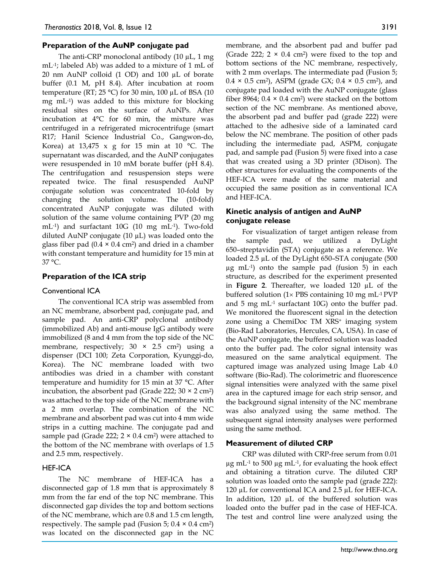#### **Preparation of the AuNP conjugate pad**

The anti-CRP monoclonal antibody (10 uL, 1 mg) mL-1; labeled Ab) was added to a mixture of 1 mL of 20 nm AuNP colloid (1 OD) and 100 µL of borate buffer (0.1 M, pH 8.4). After incubation at room temperature (RT; 25 °C) for 30 min, 100  $\mu$ L of BSA (10 mg mL-1) was added to this mixture for blocking residual sites on the surface of AuNPs. After incubation at 4°C for 60 min, the mixture was centrifuged in a refrigerated microcentrifuge (smart R17; Hanil Science Industrial Co., Gangwon-do, Korea) at  $13,475 \times g$  for 15 min at 10 °C. The supernatant was discarded, and the AuNP conjugates were resuspended in 10 mM borate buffer (pH 8.4). The centrifugation and resuspension steps were repeated twice. The final resuspended AuNP conjugate solution was concentrated 10-fold by changing the solution volume. The (10-fold) concentrated AuNP conjugate was diluted with solution of the same volume containing PVP (20 mg mL-1) and surfactant 10G (10 mg mL-1). Two-fold diluted AuNP conjugate (10 µL) was loaded onto the glass fiber pad  $(0.4 \times 0.4 \text{ cm}^2)$  and dried in a chamber with constant temperature and humidity for 15 min at 37 °C.

# **Preparation of the ICA strip**

#### Conventional ICA

The conventional ICA strip was assembled from an NC membrane, absorbent pad, conjugate pad, and sample pad. An anti-CRP polyclonal antibody (immobilized Ab) and anti-mouse IgG antibody were immobilized (8 and 4 mm from the top side of the NC membrane, respectively;  $30 \times 2.5$  cm<sup>2</sup>) using a dispenser (DCI 100; Zeta Corporation, Kyunggi-do, Korea). The NC membrane loaded with two antibodies was dried in a chamber with constant temperature and humidity for 15 min at 37 °C. After incubation, the absorbent pad (Grade 222;  $30 \times 2$  cm<sup>2</sup>) was attached to the top side of the NC membrane with a 2 mm overlap. The combination of the NC membrane and absorbent pad was cut into 4 mm wide strips in a cutting machine. The conjugate pad and sample pad (Grade 222;  $2 \times 0.4$  cm<sup>2</sup>) were attached to the bottom of the NC membrane with overlaps of 1.5 and 2.5 mm, respectively.

# HEF-ICA

The NC membrane of HEF-ICA has a disconnected gap of 1.8 mm that is approximately 8 mm from the far end of the top NC membrane. This disconnected gap divides the top and bottom sections of the NC membrane, which are 0.8 and 1.5 cm length, respectively. The sample pad (Fusion 5;  $0.4 \times 0.4$  cm<sup>2</sup>) was located on the disconnected gap in the NC membrane, and the absorbent pad and buffer pad (Grade 222;  $2 \times 0.4$  cm<sup>2</sup>) were fixed to the top and bottom sections of the NC membrane, respectively, with 2 mm overlaps. The intermediate pad (Fusion 5;  $0.4 \times 0.5$  cm<sup>2</sup>), ASPM (grade GX;  $0.4 \times 0.5$  cm<sup>2</sup>), and conjugate pad loaded with the AuNP conjugate (glass fiber 8964;  $0.4 \times 0.4$  cm<sup>2</sup>) were stacked on the bottom section of the NC membrane. As mentioned above, the absorbent pad and buffer pad (grade 222) were attached to the adhesive side of a laminated card below the NC membrane. The position of other pads including the intermediate pad, ASPM, conjugate pad, and sample pad (Fusion 5) were fixed into a case that was created using a 3D printer (3Dison). The other structures for evaluating the components of the HEF-ICA were made of the same material and occupied the same position as in conventional ICA and HEF-ICA.

# **Kinetic analysis of antigen and AuNP conjugate release**

For visualization of target antigen release from the sample pad, we utilized a DyLight 650–streptavidin (STA) conjugate as a reference. We loaded 2.5 µL of the DyLight 650–STA conjugate (500 µg mL-1) onto the sample pad (fusion 5) in each structure, as described for the experiment presented in **Figure 2**. Thereafter, we loaded 120 µL of the buffered solution (1× PBS containing 10 mg mL-1 PVP and 5 mg mL-1 surfactant 10G) onto the buffer pad. We monitored the fluorescent signal in the detection zone using a ChemiDoc TM XRS+ imaging system (Bio-Rad Laboratories, Hercules, CA, USA). In case of the AuNP conjugate, the buffered solution was loaded onto the buffer pad. The color signal intensity was measured on the same analytical equipment. The captured image was analyzed using Image Lab 4.0 software (Bio-Rad). The colorimetric and fluorescence signal intensities were analyzed with the same pixel area in the captured image for each strip sensor, and the background signal intensity of the NC membrane was also analyzed using the same method. The subsequent signal intensity analyses were performed using the same method.

#### **Measurement of diluted CRP**

CRP was diluted with CRP-free serum from 0.01  $\mu$ g mL<sup>-1</sup> to 500  $\mu$ g mL<sup>-1</sup>, for evaluating the hook effect and obtaining a titration curve. The diluted CRP solution was loaded onto the sample pad (grade 222): 120 µL for conventional ICA and 2.5 µL for HEF-ICA. In addition, 120 µL of the buffered solution was loaded onto the buffer pad in the case of HEF-ICA. The test and control line were analyzed using the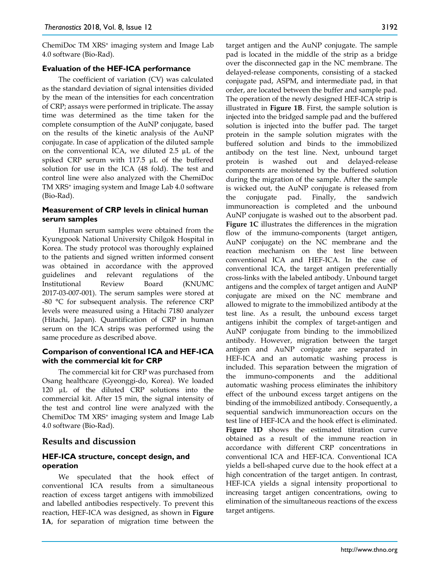ChemiDoc TM XRS<sup>+</sup> imaging system and Image Lab 4.0 software (Bio-Rad).

# **Evaluation of the HEF-ICA performance**

The coefficient of variation (CV) was calculated as the standard deviation of signal intensities divided by the mean of the intensities for each concentration of CRP; assays were performed in triplicate. The assay time was determined as the time taken for the complete consumption of the AuNP conjugate, based on the results of the kinetic analysis of the AuNP conjugate. In case of application of the diluted sample on the conventional ICA, we diluted 2.5 µL of the spiked CRP serum with 117.5 µL of the buffered solution for use in the ICA (48 fold). The test and control line were also analyzed with the ChemiDoc TM XRS+ imaging system and Image Lab 4.0 software (Bio-Rad).

# **Measurement of CRP levels in clinical human serum samples**

Human serum samples were obtained from the Kyungpook National University Chilgok Hospital in Korea. The study protocol was thoroughly explained to the patients and signed written informed consent was obtained in accordance with the approved guidelines and relevant regulations of the Institutional Review Board (KNUMC 2017-03-007-001). The serum samples were stored at -80 °C for subsequent analysis. The reference CRP levels were measured using a Hitachi 7180 analyzer (Hitachi, Japan). Quantification of CRP in human serum on the ICA strips was performed using the same procedure as described above.

# **Comparison of conventional ICA and HEF-ICA with the commercial kit for CRP**

The commercial kit for CRP was purchased from Osang healthcare (Gyeonggi-do, Korea). We loaded 120 µL of the diluted CRP solutions into the commercial kit. After 15 min, the signal intensity of the test and control line were analyzed with the ChemiDoc TM XRS+ imaging system and Image Lab 4.0 software (Bio-Rad).

# **Results and discussion**

# **HEF-ICA structure, concept design, and operation**

We speculated that the hook effect of conventional ICA results from a simultaneous reaction of excess target antigens with immobilized and labelled antibodies respectively. To prevent this reaction, HEF-ICA was designed, as shown in **Figure 1A**, for separation of migration time between the

target antigen and the AuNP conjugate. The sample pad is located in the middle of the strip as a bridge over the disconnected gap in the NC membrane. The delayed-release components, consisting of a stacked conjugate pad, ASPM, and intermediate pad, in that order, are located between the buffer and sample pad. The operation of the newly designed HEF-ICA strip is illustrated in **Figure 1B**. First, the sample solution is injected into the bridged sample pad and the buffered solution is injected into the buffer pad. The target protein in the sample solution migrates with the buffered solution and binds to the immobilized antibody on the test line. Next, unbound target protein is washed out and delayed-release components are moistened by the buffered solution during the migration of the sample. After the sample is wicked out, the AuNP conjugate is released from the conjugate pad. Finally, the sandwich immunoreaction is completed and the unbound AuNP conjugate is washed out to the absorbent pad. **Figure 1C** illustrates the differences in the migration flow of the immuno-components (target antigen, AuNP conjugate) on the NC membrane and the reaction mechanism on the test line between conventional ICA and HEF-ICA. In the case of conventional ICA, the target antigen preferentially cross-links with the labeled antibody. Unbound target antigens and the complex of target antigen and AuNP conjugate are mixed on the NC membrane and allowed to migrate to the immobilized antibody at the test line. As a result, the unbound excess target antigens inhibit the complex of target-antigen and AuNP conjugate from binding to the immobilized antibody. However, migration between the target antigen and AuNP conjugate are separated in HEF-ICA and an automatic washing process is included. This separation between the migration of the immuno-components and the additional automatic washing process eliminates the inhibitory effect of the unbound excess target antigens on the binding of the immobilized antibody. Consequently, a sequential sandwich immunoreaction occurs on the test line of HEF-ICA and the hook effect is eliminated. Figure 1D shows the estimated titration curve obtained as a result of the immune reaction in accordance with different CRP concentrations in conventional ICA and HEF-ICA. Conventional ICA yields a bell-shaped curve due to the hook effect at a high concentration of the target antigen. In contrast, HEF-ICA yields a signal intensity proportional to increasing target antigen concentrations, owing to elimination of the simultaneous reactions of the excess target antigens.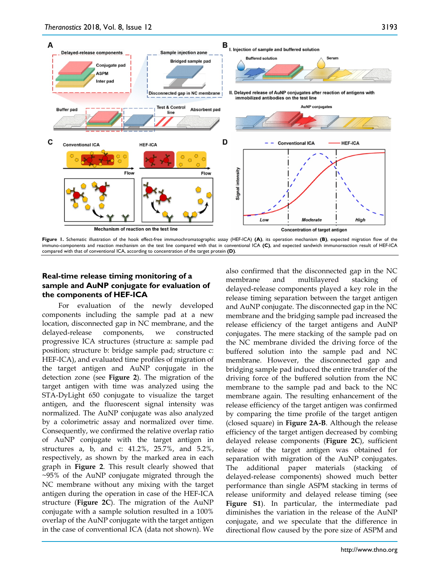

**Figure 1.** Schematic illustration of the hook effect-free immunochromatographic assay (HEF-ICA) **(A)**, its operation mechanism **(B)**, expected migration flow of the immuno-components and reaction mechanism on the test line compared with that in conventional ICA **(C)**, and expected sandwich immunoreaction result of HEF-ICA compared with that of conventional ICA, according to concentration of the target protein **(D)**.

# **Real-time release timing monitoring of a sample and AuNP conjugate for evaluation of the components of HEF-ICA**

For evaluation of the newly developed components including the sample pad at a new location, disconnected gap in NC membrane, and the delayed-release components, we constructed progressive ICA structures (structure a: sample pad position; structure b: bridge sample pad; structure c: HEF-ICA), and evaluated time profiles of migration of the target antigen and AuNP conjugate in the detection zone (see **Figure 2**). The migration of the target antigen with time was analyzed using the STA-DyLight 650 conjugate to visualize the target antigen, and the fluorescent signal intensity was normalized. The AuNP conjugate was also analyzed by a colorimetric assay and normalized over time. Consequently, we confirmed the relative overlap ratio of AuNP conjugate with the target antigen in structures a, b, and c: 41.2%, 25.7%, and 5.2%, respectively, as shown by the marked area in each graph in **Figure 2**. This result clearly showed that ~95% of the AuNP conjugate migrated through the NC membrane without any mixing with the target antigen during the operation in case of the HEF-ICA structure (**Figure 2C**). The migration of the AuNP conjugate with a sample solution resulted in a 100% overlap of the AuNP conjugate with the target antigen in the case of conventional ICA (data not shown). We

also confirmed that the disconnected gap in the NC membrane and multilayered stacking of delayed-release components played a key role in the release timing separation between the target antigen and AuNP conjugate. The disconnected gap in the NC membrane and the bridging sample pad increased the release efficiency of the target antigens and AuNP conjugates. The mere stacking of the sample pad on the NC membrane divided the driving force of the buffered solution into the sample pad and NC membrane. However, the disconnected gap and bridging sample pad induced the entire transfer of the driving force of the buffered solution from the NC membrane to the sample pad and back to the NC membrane again. The resulting enhancement of the release efficiency of the target antigen was confirmed by comparing the time profile of the target antigen (closed square) in **Figure 2A-B**. Although the release efficiency of the target antigen decreased by combing delayed release components (**Figure 2C**), sufficient release of the target antigen was obtained for separation with migration of the AuNP conjugates. The additional paper materials (stacking of delayed-release components) showed much better performance than single ASPM stacking in terms of release uniformity and delayed release timing (see **Figure S1**). In particular, the intermediate pad diminishes the variation in the release of the AuNP conjugate, and we speculate that the difference in directional flow caused by the pore size of ASPM and

3193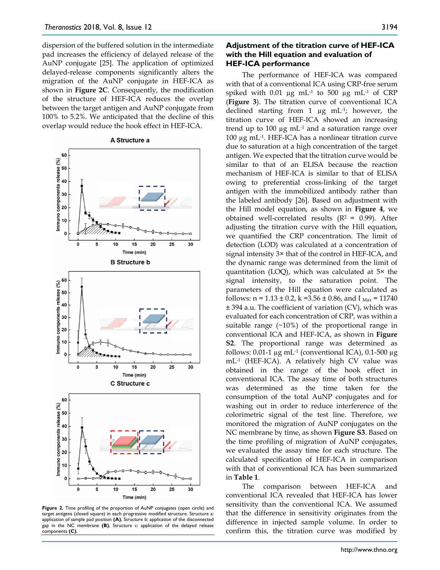dispersion of the buffered solution in the intermediate pad increases the efficiency of delayed release of the AuNP conjugate [25]. The application of optimized delayed-release components significantly alters the migration of the AuNP conjugate in HEF-ICA as shown in **Figure 2C**. Consequently, the modification of the structure of HEF-ICA reduces the overlap between the target antigen and AuNP conjugate from 100% to 5.2%. We anticipated that the decline of this overlap would reduce the hook effect in HEF-ICA.

#### A Structure a



**Figure 2.** Time profiling of the proportion of AuNP conjugates (open circle) and target antigens (closed square) in each progressive modified structure. Structure a: application of sample pad position **(A)**, Structure b: application of the disconnected gap in the NC membrane **(B)**, Structure c: application of the delayed release components **(C)**.

# **Adjustment of the titration curve of HEF-ICA with the Hill equation and evaluation of HEF-ICA performance**

The performance of HEF-ICA was compared with that of a conventional ICA using CRP-free serum spiked with 0.01  $\mu$ g mL<sup>-1</sup> to 500  $\mu$ g mL<sup>-1</sup> of CRP (**Figure 3**). The titration curve of conventional ICA declined starting from 1 µg mL-1; however, the titration curve of HEF-ICA showed an increasing trend up to  $100 \mu g$  mL $^{-1}$  and a saturation range over 100 µg mL-1. HEF-ICA has a nonlinear titration curve due to saturation at a high concentration of the target antigen. We expected that the titration curve would be similar to that of an ELISA because the reaction mechanism of HEF-ICA is similar to that of ELISA owing to preferential cross-linking of the target antigen with the immobilized antibody rather than the labeled antibody [26]. Based on adjustment with the Hill model equation, as shown in **Figure 4**, we obtained well-correlated results ( $R^2$  = 0.99). After adjusting the titration curve with the Hill equation, we quantified the CRP concentration. The limit of detection (LOD) was calculated at a concentration of signal intensity 3× that of the control in HEF-ICA, and the dynamic range was determined from the limit of quantitation (LOQ), which was calculated at 5× the signal intensity, to the saturation point. The parameters of the Hill equation were calculated as follows:  $n = 1.13 \pm 0.2$ ,  $k = 3.56 \pm 0.86$ , and  $I_{Max} = 11740$ ± 394 a.u. The coefficient of variation (CV), which was evaluated for each concentration of CRP, was within a suitable range  $(\sim 10\%)$  of the proportional range in conventional ICA and HEF-ICA, as shown in **Figure S2**. The proportional range was determined as follows: 0.01-1  $\mu$ g mL<sup>-1</sup> (conventional ICA), 0.1-500  $\mu$ g mL-1 (HEF-ICA). A relatively high CV value was obtained in the range of the hook effect in conventional ICA. The assay time of both structures was determined as the time taken for the consumption of the total AuNP conjugates and for washing out in order to reduce interference of the colorimetric signal of the test line. Therefore, we monitored the migration of AuNP conjugates on the NC membrane by time, as shown **Figure S3**. Based on the time profiling of migration of AuNP conjugates, we evaluated the assay time for each structure. The calculated specification of HEF-ICA in comparison with that of conventional ICA has been summarized in **Table 1**.

The comparison between HEF-ICA and conventional ICA revealed that HEF-ICA has lower sensitivity than the conventional ICA. We assumed that the difference in sensitivity originates from the difference in injected sample volume. In order to confirm this, the titration curve was modified by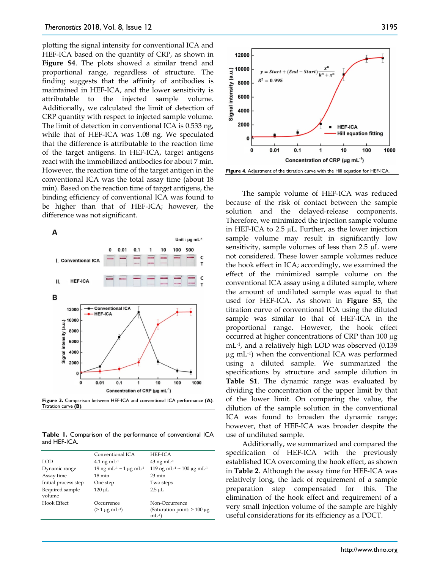plotting the signal intensity for conventional ICA and HEF-ICA based on the quantity of CRP, as shown in **Figure S4**. The plots showed a similar trend and proportional range, regardless of structure. The finding suggests that the affinity of antibodies is maintained in HEF-ICA, and the lower sensitivity is attributable to the injected sample volume. Additionally, we calculated the limit of detection of CRP quantity with respect to injected sample volume. The limit of detection in conventional ICA is 0.533 ng, while that of HEF-ICA was 1.08 ng. We speculated that the difference is attributable to the reaction time of the target antigens. In HEF-ICA, target antigens react with the immobilized antibodies for about 7 min. However, the reaction time of the target antigen in the conventional ICA was the total assay time (about 18 min). Based on the reaction time of target antigens, the binding efficiency of conventional ICA was found to be higher than that of HEF-ICA; however, the difference was not significant.



**Figure 3.** Comparison between HEF-ICA and conventional ICA performance **(A)**. Titration curve **(B)**.

**Table 1.** Comparison of the performance of conventional ICA and HEF-ICA.

|                           | Conventional ICA                               | HEF-ICA                                           |  |
|---------------------------|------------------------------------------------|---------------------------------------------------|--|
| LOD                       | $4.1$ ng mL $^{-1}$                            | $43$ ng mL $^{-1}$                                |  |
| Dynamic range             | 19 ng mL <sup>-1</sup> ~ 1 μg mL <sup>-1</sup> | 119 ng mL <sup>-1</sup> ~ 100 μg mL <sup>-1</sup> |  |
| Assay time                | $18 \text{ min}$                               | $23 \text{ min}$                                  |  |
| Initial process step      | One step                                       | Two steps                                         |  |
| Required sample<br>volume | $120 \mu L$                                    | $2.5 \mu L$                                       |  |
| <b>Hook Effect</b>        | Occurrence                                     | Non-Occurrence                                    |  |
|                           | $(>1 \mu g \text{ mL}^{-1})$                   | (Saturation point: $>100 \mu$ g<br>$mL^{-1}$      |  |



The sample volume of HEF-ICA was reduced because of the risk of contact between the sample solution and the delayed-release components. Therefore, we minimized the injection sample volume in HEF-ICA to 2.5 µL. Further, as the lower injection sample volume may result in significantly low sensitivity, sample volumes of less than  $2.5 \mu L$  were not considered. These lower sample volumes reduce the hook effect in ICA; accordingly, we examined the effect of the minimized sample volume on the conventional ICA assay using a diluted sample, where the amount of undiluted sample was equal to that used for HEF-ICA. As shown in **Figure S5**, the titration curve of conventional ICA using the diluted sample was similar to that of HEF-ICA in the proportional range. However, the hook effect occurred at higher concentrations of CRP than 100 µg mL-1, and a relatively high LOD was observed (0.139 µg mL-1) when the conventional ICA was performed using a diluted sample. We summarized the specifications by structure and sample dilution in **Table S1**. The dynamic range was evaluated by dividing the concentration of the upper limit by that of the lower limit. On comparing the value, the dilution of the sample solution in the conventional ICA was found to broaden the dynamic range; however, that of HEF-ICA was broader despite the use of undiluted sample.

Additionally, we summarized and compared the specification of HEF-ICA with the previously established ICA overcoming the hook effect, as shown in **Table 2**. Although the assay time for HEF-ICA was relatively long, the lack of requirement of a sample preparation step compensated for this. The elimination of the hook effect and requirement of a very small injection volume of the sample are highly useful considerations for its efficiency as a POCT.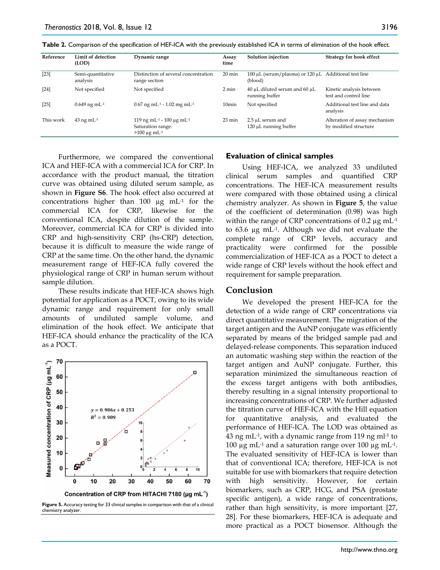| Reference | Limit of detection<br>(LOD)             | Dynamic range                                                                   | Assay<br>time     | Solution injection                                              | Strategy for hook effect                               |
|-----------|-----------------------------------------|---------------------------------------------------------------------------------|-------------------|-----------------------------------------------------------------|--------------------------------------------------------|
| $[23]$    | Semi-quantitative<br>analysis           | Distinction of several concentration<br>range section                           | $20 \text{ min}$  | 100 μL (serum/plasma) or 120 μL Additional test line<br>(blood) |                                                        |
| $[24]$    | Not specified                           | Not specified                                                                   | 2 min             | 40 µL diluted serum and 60 µL<br>running buffer                 | Kinetic analysis between<br>test and control line      |
| $[25]$    | $0.649$ ng mL <sup>-1</sup>             | $0.67$ ng mL <sup>-1</sup> - 1.02 mg mL <sup>-1</sup>                           | 10 <sub>min</sub> | Not specified                                                   | Additional test line and data<br>analysis              |
| This work | $43 \text{ ng } \text{m} \text{L}^{-1}$ | 119 ng mL-1 - 100 µg mL-1<br>Saturation range:<br>$>100 \mu g$ mL <sup>-1</sup> | $23 \text{ min}$  | 2.5 µL serum and<br>$120 \mu L$ running buffer                  | Alteration of assay mechanism<br>by modified structure |

**Table 2.** Comparison of the specification of HEF-ICA with the previously established ICA in terms of elimination of the hook effect.

Furthermore, we compared the conventional ICA and HEF-ICA with a commercial ICA for CRP. In accordance with the product manual, the titration curve was obtained using diluted serum sample, as shown in **Figure S6**. The hook effect also occurred at concentrations higher than 100  $\mu$ g mL<sup>-1</sup> for the commercial ICA for CRP, likewise for the conventional ICA, despite dilution of the sample. Moreover, commercial ICA for CRP is divided into CRP and high-sensitivity CRP (hs-CRP) detection, because it is difficult to measure the wide range of CRP at the same time. On the other hand, the dynamic measurement range of HEF-ICA fully covered the physiological range of CRP in human serum without sample dilution.

These results indicate that HEF-ICA shows high potential for application as a POCT, owing to its wide dynamic range and requirement for only small amounts of undiluted sample volume, and elimination of the hook effect. We anticipate that HEF-ICA should enhance the practicality of the ICA as a POCT.



**Figure 5.** Accuracy testing for 33 clinical samples in comparison with that of a clinical chemistry analyzer.

#### **Evaluation of clinical samples**

Using HEF-ICA, we analyzed 33 undiluted clinical serum samples and quantified CRP concentrations. The HEF-ICA measurement results were compared with those obtained using a clinical chemistry analyzer. As shown in **Figure 5**, the value of the coefficient of determination (0.98) was high within the range of CRP concentrations of  $0.2 \mu g$  mL<sup>-1</sup> to 63.6 µg mL-1. Although we did not evaluate the complete range of CRP levels, accuracy and practicality were confirmed for the possible commercialization of HEF-ICA as a POCT to detect a wide range of CRP levels without the hook effect and requirement for sample preparation.

#### **Conclusion**

We developed the present HEF-ICA for the detection of a wide range of CRP concentrations via direct quantitative measurement. The migration of the target antigen and the AuNP conjugate was efficiently separated by means of the bridged sample pad and delayed-release components. This separation induced an automatic washing step within the reaction of the target antigen and AuNP conjugate. Further, this separation minimized the simultaneous reaction of the excess target antigens with both antibodies, thereby resulting in a signal intensity proportional to increasing concentrations of CRP. We further adjusted the titration curve of HEF-ICA with the Hill equation for quantitative analysis, and evaluated the performance of HEF-ICA. The LOD was obtained as 43 ng mL $^{-1}$ , with a dynamic range from 119 ng ml $^{-1}$  to 100 μg mL<sup>-1</sup> and a saturation range over 100 μg mL<sup>-1</sup>. The evaluated sensitivity of HEF-ICA is lower than that of conventional ICA; therefore, HEF-ICA is not suitable for use with biomarkers that require detection with high sensitivity. However, for certain biomarkers, such as CRP, HCG, and PSA (prostate specific antigen), a wide range of concentrations, rather than high sensitivity, is more important [27, 28]. For these biomarkers, HEF-ICA is adequate and more practical as a POCT biosensor. Although the